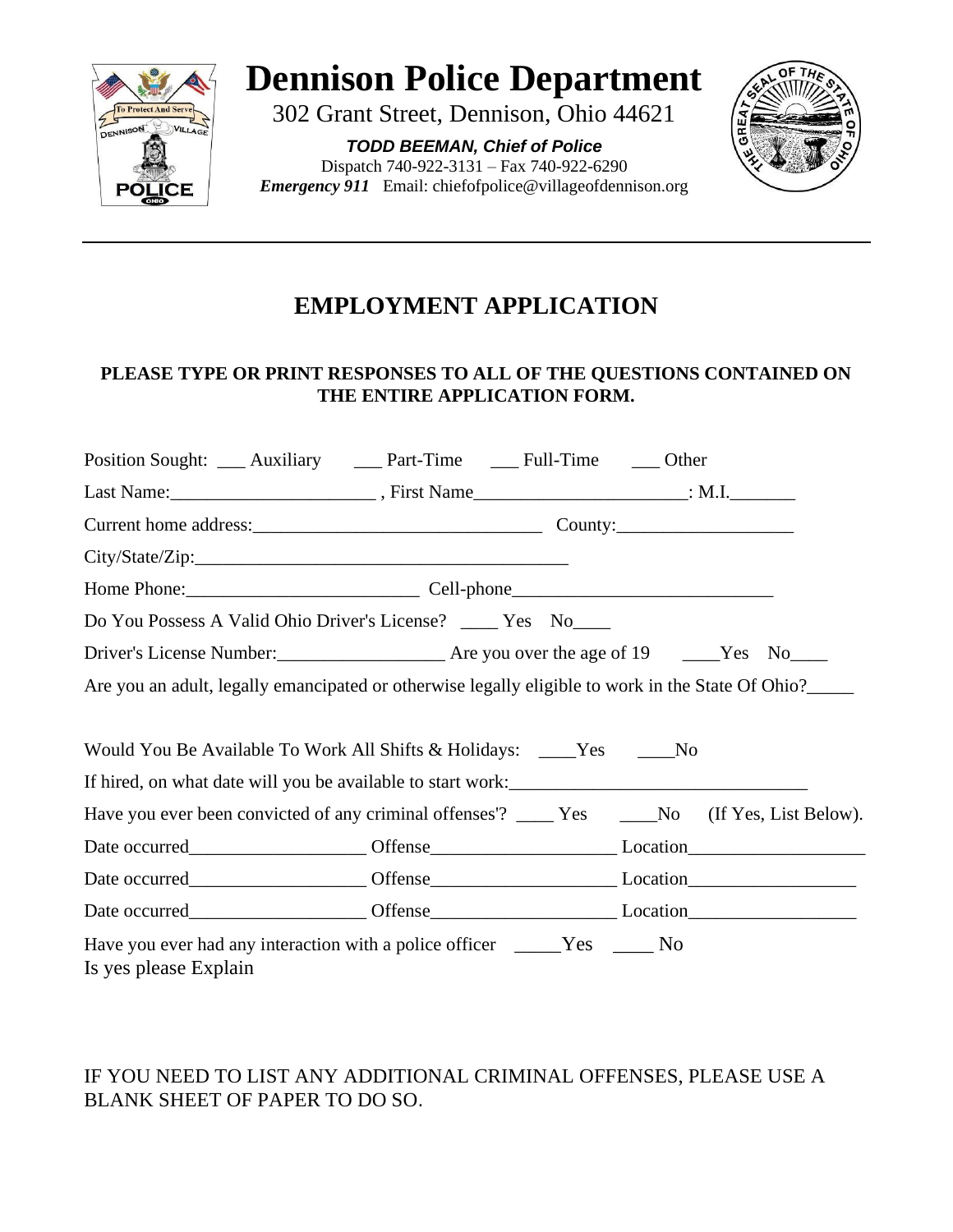

# **Dennison Police Department**

302 Grant Street, Dennison, Ohio 44621

*TODD BEEMAN, Chief of Police* Dispatch 740-922-3131 – Fax 740-922-6290 *Emergency 911* Email: chiefofpolice@villageofdennison.org



## **EMPLOYMENT APPLICATION**

### **PLEASE TYPE OR PRINT RESPONSES TO ALL OF THE QUESTIONS CONTAINED ON THE ENTIRE APPLICATION FORM.**

| Position Sought: ____ Auxiliary _____ Part-Time _____ Full-Time _____ Other                       |  |  |                                                                                                        |
|---------------------------------------------------------------------------------------------------|--|--|--------------------------------------------------------------------------------------------------------|
|                                                                                                   |  |  |                                                                                                        |
|                                                                                                   |  |  |                                                                                                        |
|                                                                                                   |  |  |                                                                                                        |
|                                                                                                   |  |  |                                                                                                        |
| Do You Possess A Valid Ohio Driver's License? ____ Yes No____                                     |  |  |                                                                                                        |
|                                                                                                   |  |  |                                                                                                        |
|                                                                                                   |  |  | Are you an adult, legally emancipated or otherwise legally eligible to work in the State Of Ohio?_____ |
|                                                                                                   |  |  |                                                                                                        |
| Would You Be Available To Work All Shifts & Holidays: ____Yes _____No                             |  |  |                                                                                                        |
|                                                                                                   |  |  |                                                                                                        |
|                                                                                                   |  |  | Have you ever been convicted of any criminal offenses'? _____ Yes ______No (If Yes, List Below).       |
|                                                                                                   |  |  |                                                                                                        |
|                                                                                                   |  |  |                                                                                                        |
|                                                                                                   |  |  |                                                                                                        |
| Have you ever had any interaction with a police officer _____Yes _____No<br>Is yes please Explain |  |  |                                                                                                        |

## IF YOU NEED TO LIST ANY ADDITIONAL CRIMINAL OFFENSES, PLEASE USE A BLANK SHEET OF PAPER TO DO SO.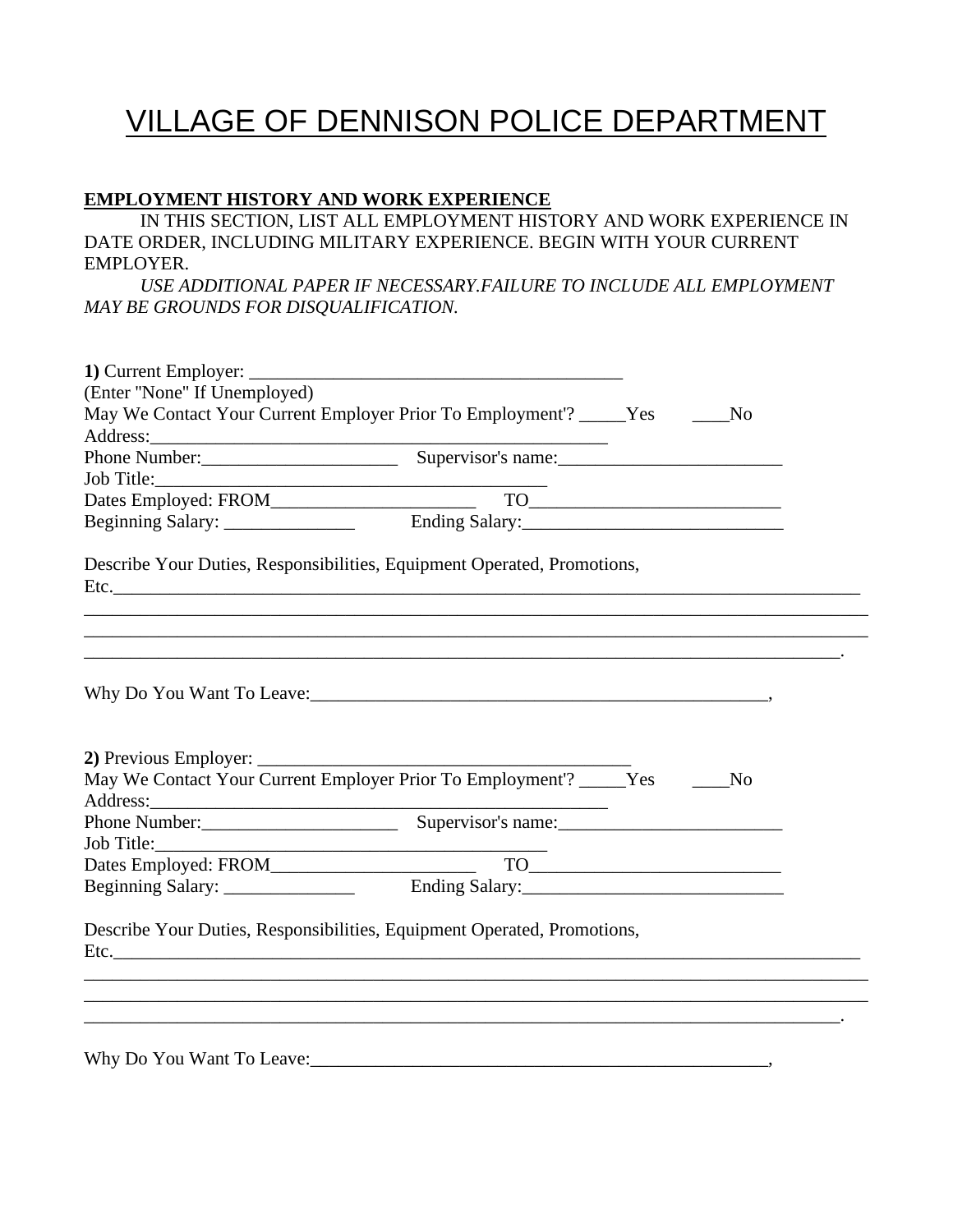# VILLAGE OF DENNISON POLICE DEPARTMENT

#### **EMPLOYMENT HISTORY AND WORK EXPERIENCE**

IN THIS SECTION, LIST ALL EMPLOYMENT HISTORY AND WORK EXPERIENCE IN DATE ORDER, INCLUDING MILITARY EXPERIENCE. BEGIN WITH YOUR CURRENT EMPLOYER.

*USE ADDITIONAL PAPER IF NECESSARY.FAILURE TO INCLUDE ALL EMPLOYMENT MAY BE GROUNDS FOR DISQUALIFICATION.*

| (Enter "None" If Unemployed) |                                                                                                                                                                                                                                          |                 |
|------------------------------|------------------------------------------------------------------------------------------------------------------------------------------------------------------------------------------------------------------------------------------|-----------------|
|                              | May We Contact Your Current Employer Prior To Employment'? _____Yes ______No                                                                                                                                                             |                 |
|                              | Address: <u>Net and Address</u> <b>Example 2.1 Supervisor's name:</b> Supervisor's name: Supervisor's name: Supervisor's name: Supervisor's name: Supervisor's name: Supervisor's name: Supervisor's name: Supervisor's name: Supervisor |                 |
|                              |                                                                                                                                                                                                                                          |                 |
|                              |                                                                                                                                                                                                                                          |                 |
|                              |                                                                                                                                                                                                                                          |                 |
|                              | Describe Your Duties, Responsibilities, Equipment Operated, Promotions,                                                                                                                                                                  |                 |
|                              |                                                                                                                                                                                                                                          |                 |
|                              |                                                                                                                                                                                                                                          |                 |
|                              | Why Do You Want To Leave: 1988 and 1988 and 1989 and 1989 and 1989 and 1989 and 1989 and 1989 and 1989 and 198                                                                                                                           |                 |
|                              |                                                                                                                                                                                                                                          |                 |
|                              | May We Contact Your Current Employer Prior To Employment'? _____Yes ______No                                                                                                                                                             |                 |
|                              |                                                                                                                                                                                                                                          |                 |
|                              |                                                                                                                                                                                                                                          |                 |
| Job Title:                   |                                                                                                                                                                                                                                          |                 |
|                              |                                                                                                                                                                                                                                          | $\overline{TO}$ |
|                              |                                                                                                                                                                                                                                          |                 |
|                              | Describe Your Duties, Responsibilities, Equipment Operated, Promotions,                                                                                                                                                                  |                 |
|                              |                                                                                                                                                                                                                                          |                 |
|                              |                                                                                                                                                                                                                                          |                 |
|                              |                                                                                                                                                                                                                                          |                 |
|                              |                                                                                                                                                                                                                                          |                 |
| Why Do You Want To Leave:    |                                                                                                                                                                                                                                          |                 |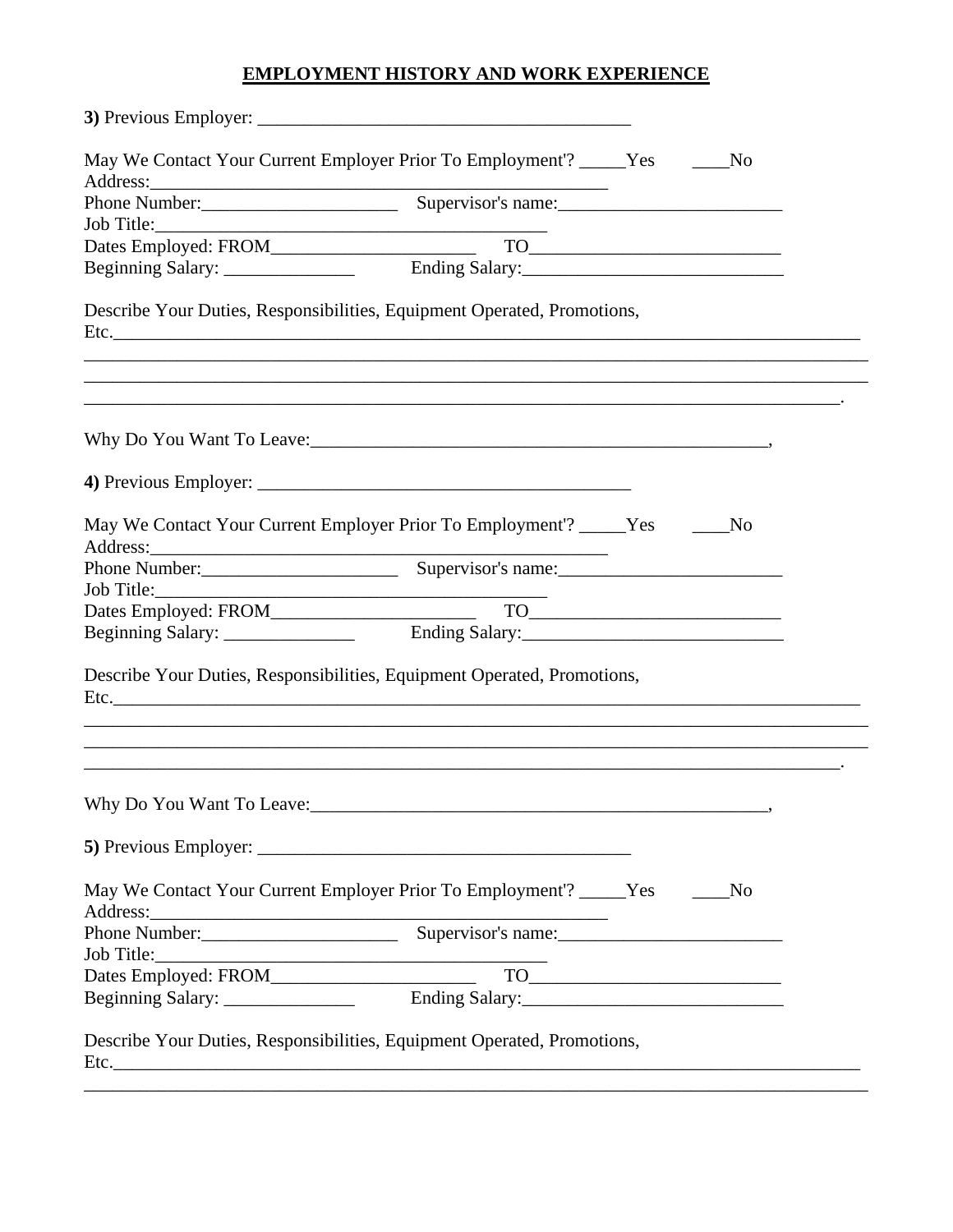## **EMPLOYMENT HISTORY AND WORK EXPERIENCE**

| Address: | May We Contact Your Current Employer Prior To Employment'? _____Yes ______<br><u> 2000 - 2000 - 2000 - 2000 - 2000 - 2000 - 2000 - 2000 - 2000 - 2000 - 2000 - 2000 - 2000 - 2000 - 2000 - 200</u>                                                                                                                                                                                                                                                                                                                                                   | N <sub>0</sub> |
|----------|------------------------------------------------------------------------------------------------------------------------------------------------------------------------------------------------------------------------------------------------------------------------------------------------------------------------------------------------------------------------------------------------------------------------------------------------------------------------------------------------------------------------------------------------------|----------------|
|          |                                                                                                                                                                                                                                                                                                                                                                                                                                                                                                                                                      |                |
|          |                                                                                                                                                                                                                                                                                                                                                                                                                                                                                                                                                      |                |
|          |                                                                                                                                                                                                                                                                                                                                                                                                                                                                                                                                                      |                |
|          |                                                                                                                                                                                                                                                                                                                                                                                                                                                                                                                                                      |                |
|          | Describe Your Duties, Responsibilities, Equipment Operated, Promotions,                                                                                                                                                                                                                                                                                                                                                                                                                                                                              |                |
|          |                                                                                                                                                                                                                                                                                                                                                                                                                                                                                                                                                      |                |
|          |                                                                                                                                                                                                                                                                                                                                                                                                                                                                                                                                                      |                |
|          |                                                                                                                                                                                                                                                                                                                                                                                                                                                                                                                                                      |                |
|          | May We Contact Your Current Employer Prior To Employment'? _____ Yes ____                                                                                                                                                                                                                                                                                                                                                                                                                                                                            | No             |
|          |                                                                                                                                                                                                                                                                                                                                                                                                                                                                                                                                                      |                |
|          |                                                                                                                                                                                                                                                                                                                                                                                                                                                                                                                                                      |                |
|          | $\begin{tabular}{c} \hline \textbf{TO}\textcolor{red}{\textbf{---}}\textcolor{red}{\textbf{---}}\textcolor{red}{\textbf{---}}\textcolor{red}{\textbf{---}}\textcolor{red}{\textbf{---}}\textcolor{red}{\textbf{---}}\textcolor{red}{\textbf{---}}\textcolor{red}{\textbf{---}}\textcolor{red}{\textbf{---}}\textcolor{red}{\textbf{---}}\textcolor{red}{\textbf{---}}\textcolor{red}{\textbf{---}}\textcolor{red}{\textbf{---}}\textcolor{red}{\textbf{---}}\textcolor{red}{\textbf{---}}\textcolor{red}{\textbf{---}}\textcolor{red}{\textbf{---}}$ |                |
|          |                                                                                                                                                                                                                                                                                                                                                                                                                                                                                                                                                      |                |
|          | Describe Your Duties, Responsibilities, Equipment Operated, Promotions,<br>,我们也不会有什么。""我们的人,我们也不会有什么?""我们的人,我们也不会有什么?""我们的人,我们也不会有什么?""我们的人,我们也不会有什么?""我们的人                                                                                                                                                                                                                                                                                                                                                                                          |                |
|          | Why Do You Want To Leave: 1988. The Contract of the United States of the United States and To Leave:                                                                                                                                                                                                                                                                                                                                                                                                                                                 |                |
|          |                                                                                                                                                                                                                                                                                                                                                                                                                                                                                                                                                      |                |
|          | May We Contact Your Current Employer Prior To Employment'? _____Yes ______No                                                                                                                                                                                                                                                                                                                                                                                                                                                                         |                |
|          |                                                                                                                                                                                                                                                                                                                                                                                                                                                                                                                                                      |                |
|          |                                                                                                                                                                                                                                                                                                                                                                                                                                                                                                                                                      |                |
|          |                                                                                                                                                                                                                                                                                                                                                                                                                                                                                                                                                      |                |
|          |                                                                                                                                                                                                                                                                                                                                                                                                                                                                                                                                                      |                |
|          |                                                                                                                                                                                                                                                                                                                                                                                                                                                                                                                                                      |                |
|          | Describe Your Duties, Responsibilities, Equipment Operated, Promotions,                                                                                                                                                                                                                                                                                                                                                                                                                                                                              |                |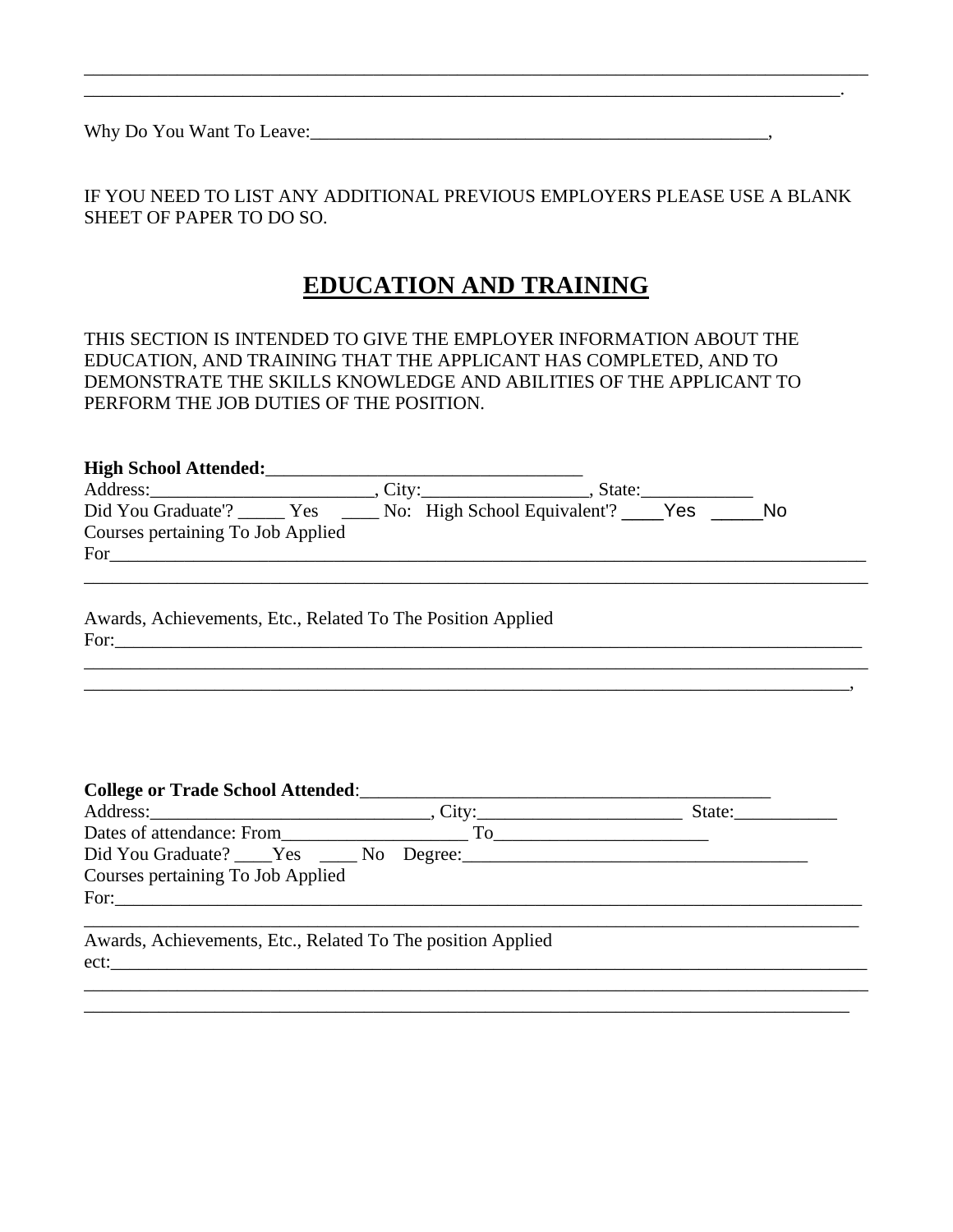Why Do You Want To Leave:\_\_\_\_\_\_\_\_\_\_\_\_\_\_\_\_\_\_\_\_\_\_\_\_\_\_\_\_\_\_\_\_\_\_\_\_\_\_\_\_\_\_\_\_\_\_\_\_\_,

IF YOU NEED TO LIST ANY ADDITIONAL PREVIOUS EMPLOYERS PLEASE USE A BLANK SHEET OF PAPER TO DO SO*.*

\_\_\_\_\_\_\_\_\_\_\_\_\_\_\_\_\_\_\_\_\_\_\_\_\_\_\_\_\_\_\_\_\_\_\_\_\_\_\_\_\_\_\_\_\_\_\_\_\_\_\_\_\_\_\_\_\_\_\_\_\_\_\_\_\_\_\_\_\_\_\_\_\_\_\_\_\_\_\_\_\_\_\_\_

 $\mathcal{L}_\mathcal{L} = \mathcal{L}_\mathcal{L}$ 

## **EDUCATION AND TRAINING**

THIS SECTION IS INTENDED TO GIVE THE EMPLOYER INFORMATION ABOUT THE EDUCATION, AND TRAINING THAT THE APPLICANT HAS COMPLETED, AND TO DEMONSTRATE THE SKILLS KNOWLEDGE AND ABILITIES OF THE APPLICANT TO PERFORM THE JOB DUTIES OF THE POSITION.

| <b>High School Attended:</b>                                                                                     | . State: |           |
|------------------------------------------------------------------------------------------------------------------|----------|-----------|
| Did You Graduate"? ______ Yes ______ No: High School Equivalent"? _____ Yes<br>Courses pertaining To Job Applied |          | <b>No</b> |
| For                                                                                                              |          |           |

\_\_\_\_\_\_\_\_\_\_\_\_\_\_\_\_\_\_\_\_\_\_\_\_\_\_\_\_\_\_\_\_\_\_\_\_\_\_\_\_\_\_\_\_\_\_\_\_\_\_\_\_\_\_\_\_\_\_\_\_\_\_\_\_\_\_\_\_\_\_\_\_\_\_\_\_\_\_\_\_\_\_,

Awards, Achievements, Etc., Related To The Position Applied For:\_\_\_\_\_\_\_\_\_\_\_\_\_\_\_\_\_\_\_\_\_\_\_\_\_\_\_\_\_\_\_\_\_\_\_\_\_\_\_\_\_\_\_\_\_\_\_\_\_\_\_\_\_\_\_\_\_\_\_\_\_\_\_\_\_\_\_\_\_\_\_\_\_\_\_\_\_\_\_\_

### **College or Trade School Attended:**

|                                   |                          | State: $\frac{1}{\sqrt{1-\frac{1}{2}} \cdot \frac{1}{\sqrt{1-\frac{1}{2}} \cdot \frac{1}{2}} \cdot \frac{1}{\sqrt{1-\frac{1}{2}} \cdot \frac{1}{2}}$ |
|-----------------------------------|--------------------------|------------------------------------------------------------------------------------------------------------------------------------------------------|
| Dates of attendance: From         | ΓO                       |                                                                                                                                                      |
|                                   |                          |                                                                                                                                                      |
| Courses pertaining To Job Applied |                          |                                                                                                                                                      |
| For:                              |                          |                                                                                                                                                      |
|                                   |                          |                                                                                                                                                      |
| .                                 | .<br>$-1$ $-1$ $-1$ $-1$ |                                                                                                                                                      |

\_\_\_\_\_\_\_\_\_\_\_\_\_\_\_\_\_\_\_\_\_\_\_\_\_\_\_\_\_\_\_\_\_\_\_\_\_\_\_\_\_\_\_\_\_\_\_\_\_\_\_\_\_\_\_\_\_\_\_\_\_\_\_\_\_\_\_\_\_\_\_\_\_\_\_\_\_\_\_\_\_\_\_\_ \_\_\_\_\_\_\_\_\_\_\_\_\_\_\_\_\_\_\_\_\_\_\_\_\_\_\_\_\_\_\_\_\_\_\_\_\_\_\_\_\_\_\_\_\_\_\_\_\_\_\_\_\_\_\_\_\_\_\_\_\_\_\_\_\_\_\_\_\_\_\_\_\_\_\_\_\_\_\_\_\_\_

Awards, Achievements, Etc., Related To The position Applied ect:\_\_\_\_\_\_\_\_\_\_\_\_\_\_\_\_\_\_\_\_\_\_\_\_\_\_\_\_\_\_\_\_\_\_\_\_\_\_\_\_\_\_\_\_\_\_\_\_\_\_\_\_\_\_\_\_\_\_\_\_\_\_\_\_\_\_\_\_\_\_\_\_\_\_\_\_\_\_\_\_\_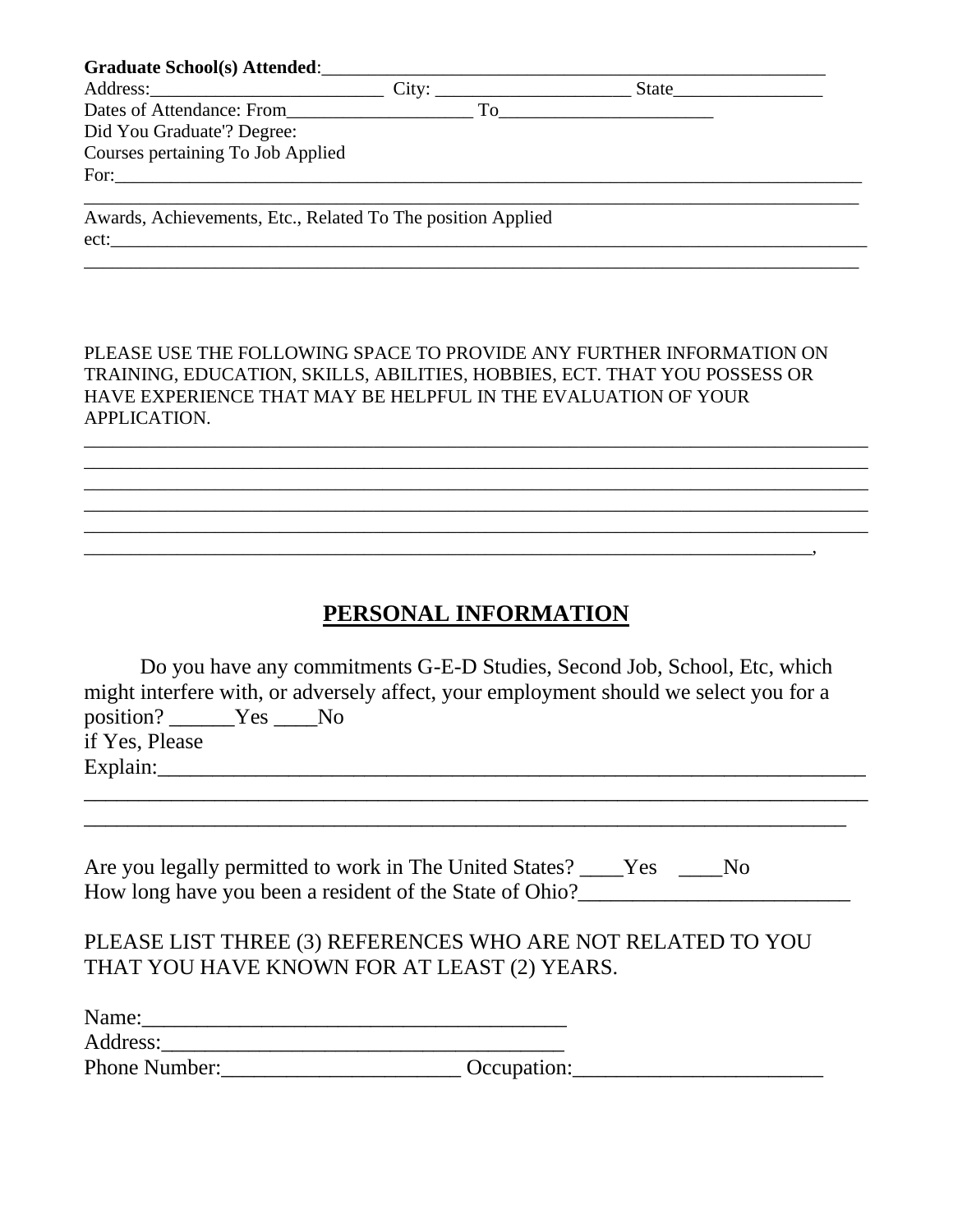| Graduate School(s) Attended:                                |                                                                                                                                                                                                                                     |  |
|-------------------------------------------------------------|-------------------------------------------------------------------------------------------------------------------------------------------------------------------------------------------------------------------------------------|--|
| Address: City: City:                                        | <b>State</b> State State State State State State State State State State State State State State State State State State State State State State State State State State State State State State State State State State State Stat |  |
| Dates of Attendance: From To                                |                                                                                                                                                                                                                                     |  |
| Did You Graduate'? Degree:                                  |                                                                                                                                                                                                                                     |  |
| Courses pertaining To Job Applied                           |                                                                                                                                                                                                                                     |  |
|                                                             |                                                                                                                                                                                                                                     |  |
|                                                             |                                                                                                                                                                                                                                     |  |
| Awards, Achievements, Etc., Related To The position Applied |                                                                                                                                                                                                                                     |  |
| ect:                                                        |                                                                                                                                                                                                                                     |  |

\_\_\_\_\_\_\_\_\_\_\_\_\_\_\_\_\_\_\_\_\_\_\_\_\_\_\_\_\_\_\_\_\_\_\_\_\_\_\_\_\_\_\_\_\_\_\_\_\_\_\_\_\_\_\_\_\_\_\_\_\_\_\_\_\_\_\_\_\_\_\_\_\_\_\_\_\_\_\_\_\_\_\_

PLEASE USE THE FOLLOWING SPACE TO PROVIDE ANY FURTHER INFORMATION ON TRAINING, EDUCATION, SKILLS, ABILITIES, HOBBIES, ECT. THAT YOU POSSESS OR HAVE EXPERIENCE THAT MAY BE HELPFUL IN THE EVALUATION OF YOUR APPLICATION.

\_\_\_\_\_\_\_\_\_\_\_\_\_\_\_\_\_\_\_\_\_\_\_\_\_\_\_\_\_\_\_\_\_\_\_\_\_\_\_\_\_\_\_\_\_\_\_\_\_\_\_\_\_\_\_\_\_\_\_\_\_\_\_\_\_\_\_\_\_\_\_\_\_\_\_\_\_\_\_\_\_\_\_\_ \_\_\_\_\_\_\_\_\_\_\_\_\_\_\_\_\_\_\_\_\_\_\_\_\_\_\_\_\_\_\_\_\_\_\_\_\_\_\_\_\_\_\_\_\_\_\_\_\_\_\_\_\_\_\_\_\_\_\_\_\_\_\_\_\_\_\_\_\_\_\_\_\_\_\_\_\_\_\_\_\_\_\_\_ \_\_\_\_\_\_\_\_\_\_\_\_\_\_\_\_\_\_\_\_\_\_\_\_\_\_\_\_\_\_\_\_\_\_\_\_\_\_\_\_\_\_\_\_\_\_\_\_\_\_\_\_\_\_\_\_\_\_\_\_\_\_\_\_\_\_\_\_\_\_\_\_\_\_\_\_\_\_\_\_\_\_\_\_ \_\_\_\_\_\_\_\_\_\_\_\_\_\_\_\_\_\_\_\_\_\_\_\_\_\_\_\_\_\_\_\_\_\_\_\_\_\_\_\_\_\_\_\_\_\_\_\_\_\_\_\_\_\_\_\_\_\_\_\_\_\_\_\_\_\_\_\_\_\_\_\_\_\_\_\_\_\_\_\_\_\_\_\_ \_\_\_\_\_\_\_\_\_\_\_\_\_\_\_\_\_\_\_\_\_\_\_\_\_\_\_\_\_\_\_\_\_\_\_\_\_\_\_\_\_\_\_\_\_\_\_\_\_\_\_\_\_\_\_\_\_\_\_\_\_\_\_\_\_\_\_\_\_\_\_\_\_\_\_\_\_\_\_\_\_\_\_\_

## **PERSONAL INFORMATION**

 $\overline{\phantom{a}}$ 

| Do you have any commitments G-E-D Studies, Second Job, School, Etc, which             |
|---------------------------------------------------------------------------------------|
| might interfere with, or adversely affect, your employment should we select you for a |
| position? ______Yes _____No                                                           |
| if Yes, Please                                                                        |
| Explain:                                                                              |
|                                                                                       |
|                                                                                       |
| Are you legally permitted to work in The United States?<br>Yes                        |

| Are you legally permitted to work in The United States? ____Yes |  |  |
|-----------------------------------------------------------------|--|--|
| How long have you been a resident of the State of Ohio?         |  |  |

## PLEASE LIST THREE (3) REFERENCES WHO ARE NOT RELATED TO YOU THAT YOU HAVE KNOWN FOR AT LEAST (2) YEARS.

| Name:         |             |  |
|---------------|-------------|--|
| Address:      |             |  |
| Phone Number: | Occupation: |  |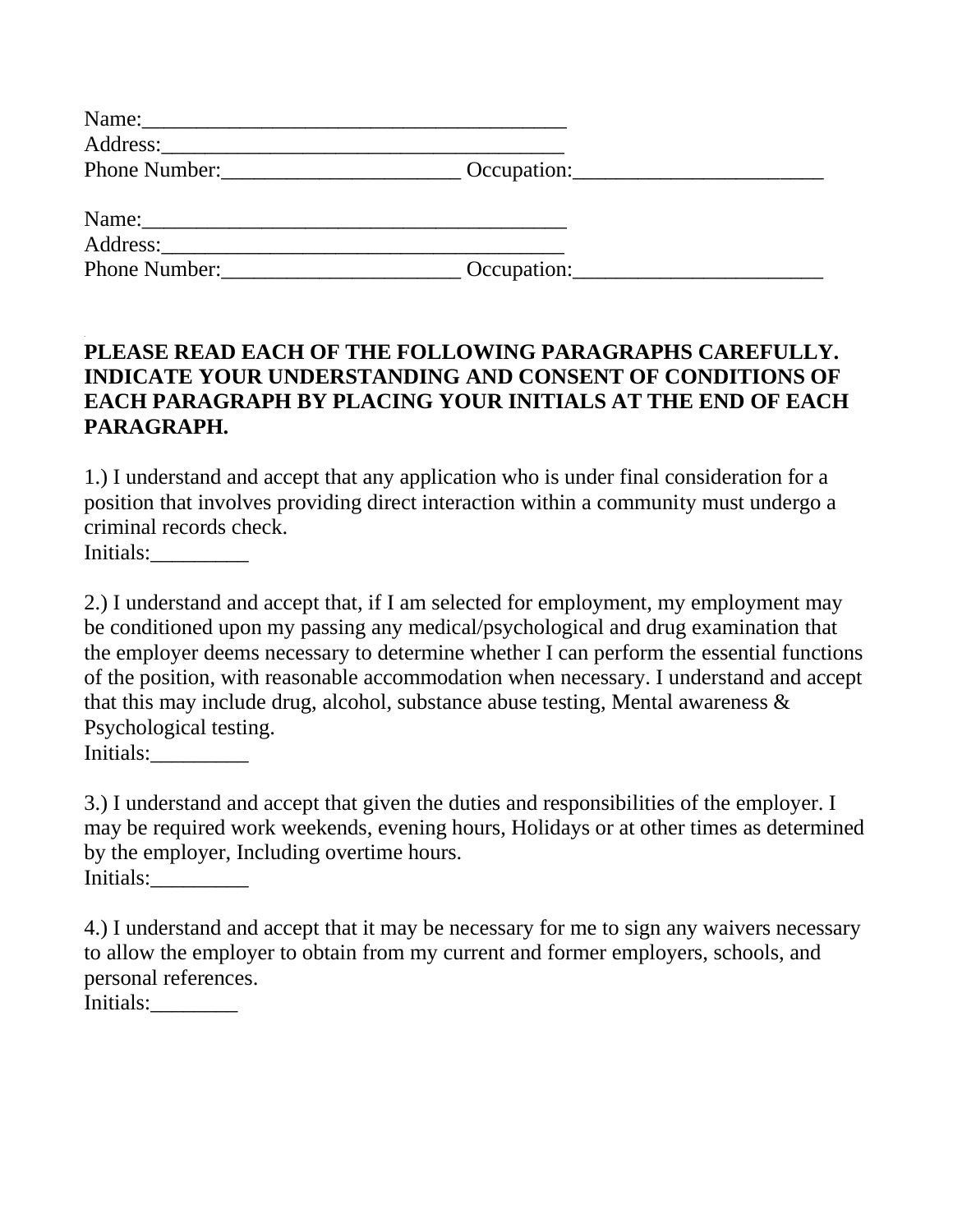| Name:         |             |  |
|---------------|-------------|--|
|               |             |  |
| Phone Number: | Occupation: |  |
|               |             |  |
| Name:         |             |  |
| Address:      |             |  |
| Phone Number: | Occupation: |  |

## **PLEASE READ EACH OF THE FOLLOWING PARAGRAPHS CAREFULLY. INDICATE YOUR UNDERSTANDING AND CONSENT OF CONDITIONS OF EACH PARAGRAPH BY PLACING YOUR INITIALS AT THE END OF EACH PARAGRAPH.**

1.) I understand and accept that any application who is under final consideration for a position that involves providing direct interaction within a community must undergo a criminal records check.

Initials:

2.) I understand and accept that, if I am selected for employment, my employment may be conditioned upon my passing any medical/psychological and drug examination that the employer deems necessary to determine whether I can perform the essential functions of the position, with reasonable accommodation when necessary. I understand and accept that this may include drug, alcohol, substance abuse testing, Mental awareness & Psychological testing. Initials:

3.) I understand and accept that given the duties and responsibilities of the employer. I may be required work weekends, evening hours, Holidays or at other times as determined by the employer, Including overtime hours. Initials:\_\_\_\_\_\_\_\_\_

4.) I understand and accept that it may be necessary for me to sign any waivers necessary to allow the employer to obtain from my current and former employers, schools, and personal references. Initials:\_\_\_\_\_\_\_\_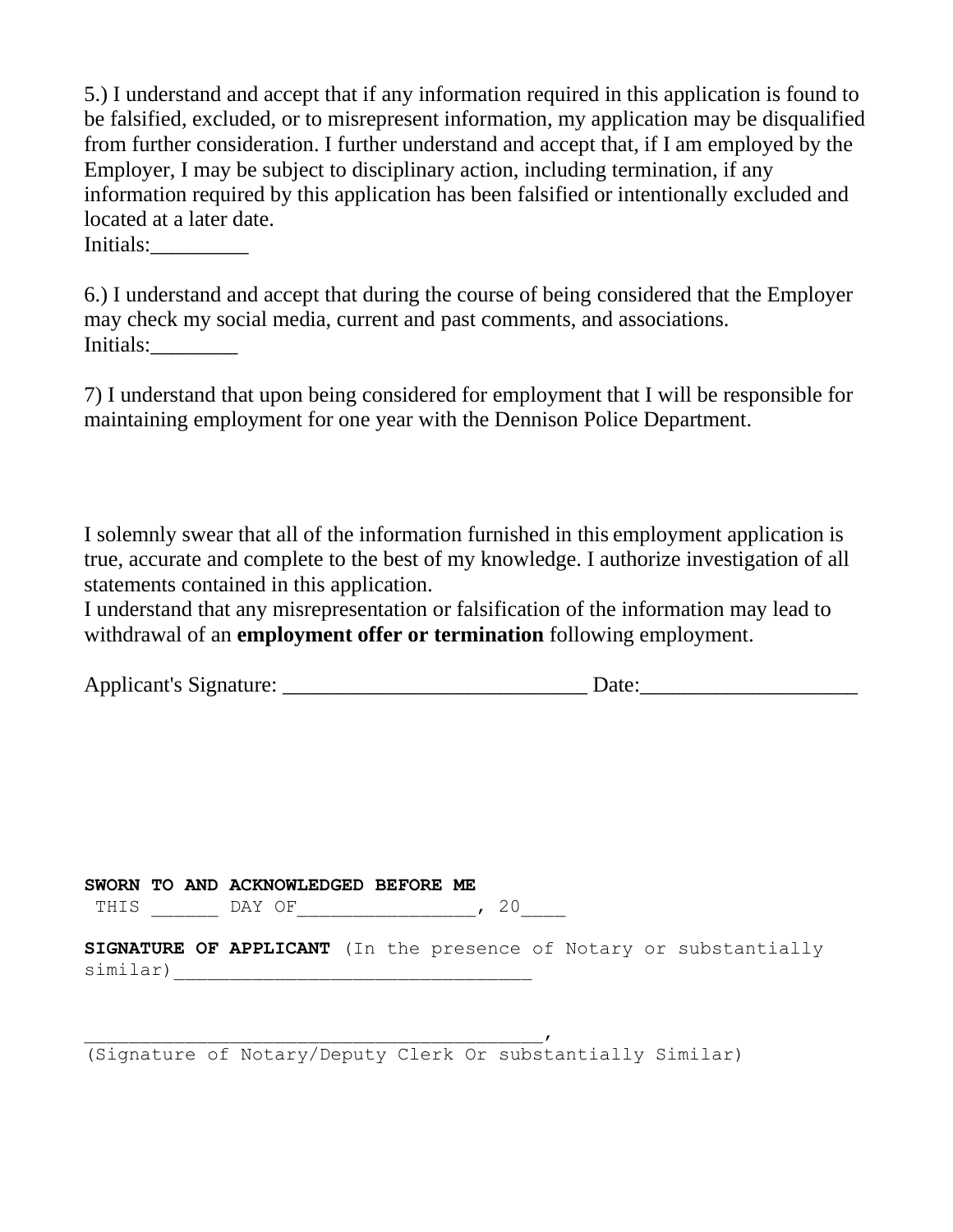5.) I understand and accept that if any information required in this application is found to be falsified, excluded, or to misrepresent information, my application may be disqualified from further consideration. I further understand and accept that, if I am employed by the Employer, I may be subject to disciplinary action, including termination, if any information required by this application has been falsified or intentionally excluded and located at a later date.

Initials:

6.) I understand and accept that during the course of being considered that the Employer may check my social media, current and past comments, and associations. Initials:

7) I understand that upon being considered for employment that I will be responsible for maintaining employment for one year with the Dennison Police Department.

I solemnly swear that all of the information furnished in this employment application is true, accurate and complete to the best of my knowledge. I authorize investigation of all statements contained in this application.

I understand that any misrepresentation or falsification of the information may lead to withdrawal of an **employment offer or termination** following employment.

| <b>Applicant's Signature:</b> |  |
|-------------------------------|--|
|                               |  |

|          |  | SWORN TO AND ACKNOWLEDGED BEFORE ME |  |      |  |                                                                           |
|----------|--|-------------------------------------|--|------|--|---------------------------------------------------------------------------|
| THIS     |  | DAY OF                              |  | , 20 |  |                                                                           |
| similar) |  |                                     |  |      |  | <b>SIGNATURE OF APPLICANT</b> (In the presence of Notary or substantially |

(Signature of Notary/Deputy Clerk Or substantially Similar)

 $\overline{a}$